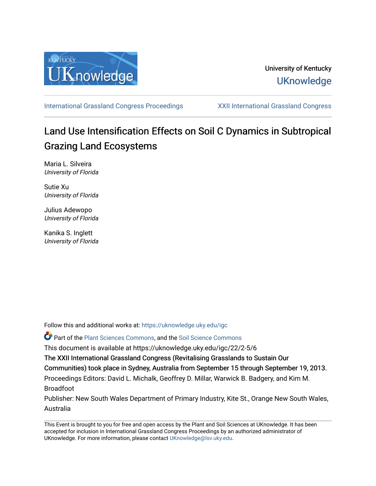

## University of Kentucky **UKnowledge**

[International Grassland Congress Proceedings](https://uknowledge.uky.edu/igc) [XXII International Grassland Congress](https://uknowledge.uky.edu/igc/22) 

# Land Use Intensification Effects on Soil C Dynamics in Subtropical Grazing Land Ecosystems

Maria L. Silveira University of Florida

Sutie Xu University of Florida

Julius Adewopo University of Florida

Kanika S. Inglett University of Florida

Follow this and additional works at: [https://uknowledge.uky.edu/igc](https://uknowledge.uky.edu/igc?utm_source=uknowledge.uky.edu%2Figc%2F22%2F2-5%2F6&utm_medium=PDF&utm_campaign=PDFCoverPages) 

Part of the [Plant Sciences Commons](http://network.bepress.com/hgg/discipline/102?utm_source=uknowledge.uky.edu%2Figc%2F22%2F2-5%2F6&utm_medium=PDF&utm_campaign=PDFCoverPages), and the [Soil Science Commons](http://network.bepress.com/hgg/discipline/163?utm_source=uknowledge.uky.edu%2Figc%2F22%2F2-5%2F6&utm_medium=PDF&utm_campaign=PDFCoverPages) 

This document is available at https://uknowledge.uky.edu/igc/22/2-5/6

The XXII International Grassland Congress (Revitalising Grasslands to Sustain Our

Communities) took place in Sydney, Australia from September 15 through September 19, 2013.

Proceedings Editors: David L. Michalk, Geoffrey D. Millar, Warwick B. Badgery, and Kim M. Broadfoot

Publisher: New South Wales Department of Primary Industry, Kite St., Orange New South Wales, Australia

This Event is brought to you for free and open access by the Plant and Soil Sciences at UKnowledge. It has been accepted for inclusion in International Grassland Congress Proceedings by an authorized administrator of UKnowledge. For more information, please contact [UKnowledge@lsv.uky.edu](mailto:UKnowledge@lsv.uky.edu).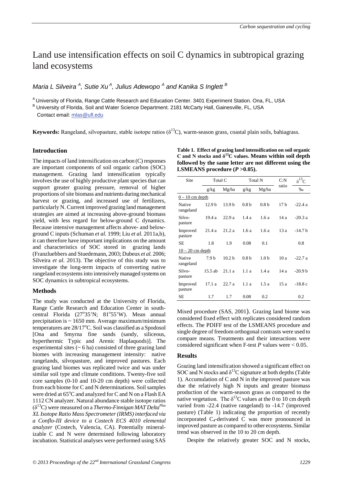## Land use intensification effects on soil C dynamics in subtropical grazing land ecosystems

### *Maria L Silveira*<sup>A</sup>, Sutie Xu<sup>A</sup>, Julius Adewopo<sup>A</sup> and Kanika S Inglett<sup> B</sup>

A University of Florida, Range Cattle Research and Education Center. 3401 Experiment Station. Ona, FL, USA

B University of Florida. Soil and Water Science Department. 2181 McCarty Hall, Gainesville, FL, USA

Contact email: mlas@ufl.edu

**Keywords:** Rangeland, silvopasture, stable isotope ratios  $(\delta^{13}C)$ , warm-season grass, coastal plain soils, bahiagrass.

#### **Introduction**

The impacts of land intensification on carbon (C) responses are important components of soil organic carbon (SOC) management. Grazing land intensification typically involves the use of highly productive plant species that can support greater grazing pressure, removal of higher proportions of site biomass and nutrients during mechanical harvest or grazing, and increased use of fertilizers, particularly N. Current improved grazing land management strategies are aimed at increasing above-ground biomass yield, with less regard for below-ground C dynamics. Because intensive management affects above- and belowground C inputs (Schuman *et al.* 1999; Liu *et al.* 2011a,b), it can therefore have important implications on the amount and characteristics of SOC stored in grazing lands (Franzluebbers and Stuedemann, 2003; Dubeux *et al.* 2006; Silveira *et al.* 2013). The objective of this study was to investigate the long-term impacts of converting native rangeland ecosystems into intensively managed systems on SOC dynamics in subtropical ecosystems.

#### **Methods**

The study was conducted at the University of Florida, Range Cattle Research and Education Center in southcentral Florida (27°35'N; 81°55'W). Mean annual precipitation is  $\sim 1650$  mm. Average maximum/minimum temperatures are 28/17°C. Soil was classified as a Spodosol [Ona and Smyrna fine sands (sandy, siliceous, hyperthermic Typic and Arenic Haplaquods)]. The experimental sites  $($   $\sim$  6 ha) consisted of three grazing land biomes with increasing management intensity: native rangelands, silvopasture, and improved pastures. Each grazing land biomes was replicated twice and was under similar soil type and climate conditions. Twenty-five soil core samples (0-10 and 10-20 cm depth) were collected from each biome for C and N determinations. Soil samples were dried at 65°C and analyzed for C and N on a Flash EA 1112 CN analyzer. Natural abundance stable isotope ratios (δ13C) were measured on a *Thermo-Finnigan MAT DeltaPlus XL Isotope Ratio Mass Spectrometer (IRMS) interfaced via a Conflo-III device to a Costech ECS 4010 elemental analyzer* (Costech, Valencia, CA). Potentially mineralizable C and N were determined following laboratory incubation. Statistical analyses were performed using SAS

**Table 1. Effect of grazing land intensification on soil organic C and N stocks and δ13C values. Means within soil depth followed by the same letter are not different using the LSMEANS procedure (***P* **>0.05).**

| Site                | Total C           |                   | <b>Total N</b>   |                  | C: N            | $\delta^{13}$ |
|---------------------|-------------------|-------------------|------------------|------------------|-----------------|---------------|
|                     | g/kg              | Mg/ha             | g/kg             | Mg/ha            | ratio           | $\%$ o        |
| $0 - 10$ cm depth   |                   |                   |                  |                  |                 |               |
| Native<br>rangeland | 12.9 <sub>b</sub> | 13.9 <sub>b</sub> | 0.8 <sub>b</sub> | 0.8 <sub>b</sub> | 17 <sub>b</sub> | $-22.4a$      |
| Silvo-<br>pasture   | 19.4 a            | 22.9a             | 1.4a             | 1.6a             | 14 a            | $-20.3a$      |
| Improved<br>pasture | 21.4a             | 21.2a             | 1.6a             | 1.6a             | 13a             | $-14.7b$      |
| <b>SE</b>           | 1.8               | 1.9               | 0.08             | 0.1              |                 | 0.8           |
| $10 - 20$ cm depth  |                   |                   |                  |                  |                 |               |
| Native<br>rangeland | 7.9 <sub>b</sub>  | 10.2 <sub>b</sub> | 0.8 <sub>b</sub> | 1.0 <sub>b</sub> | 10a             | $-22.7a$      |
| Silvo-<br>pasture   | $15.5$ ab         | 21.1a             | 1.1a             | 1.4a             | 14 a            | $-20.9b$      |
| Improved<br>pasture | 17.1a             | 22.7a             | 1.1 a            | 1.5a             | 15a             | $-18.8c$      |
| SE                  | 1.7               | 1.7               | 0.08             | 0.2              |                 | 0.2           |

Mixed procedure (SAS, 2001). Grazing land biome was considered fixed effect with replicates considered random effects. The PDIFF test of the LSMEANS procedure and single degree of freedom orthogonal contrasts were used to compare means. Treatments and their interactions were considered significant when F-test  $P$  values were  $< 0.05$ .

#### **Results**

Grazing land intensification showed a significant effect on SOC and N stocks and  $\delta^{13}$ C signature at both depths (Table 1). Accumulation of C and N in the improved pasture was due the relatively high N inputs and greater biomass production of the warm-season grass as compared to the native vegetation. The  $\delta^{13}$ C values at the 0 to 10 cm depth varied from -22.4 (native rangeland) to -14.7 (improved pasture) (Table 1) indicating the proportion of recently incorporated  $C_4$ -derivated C was more pronounced in improved pasture as compared to other ecosystems. Similar trend was observed in the 10 to 20 cm depth.

Despite the relatively greater SOC and N stocks,